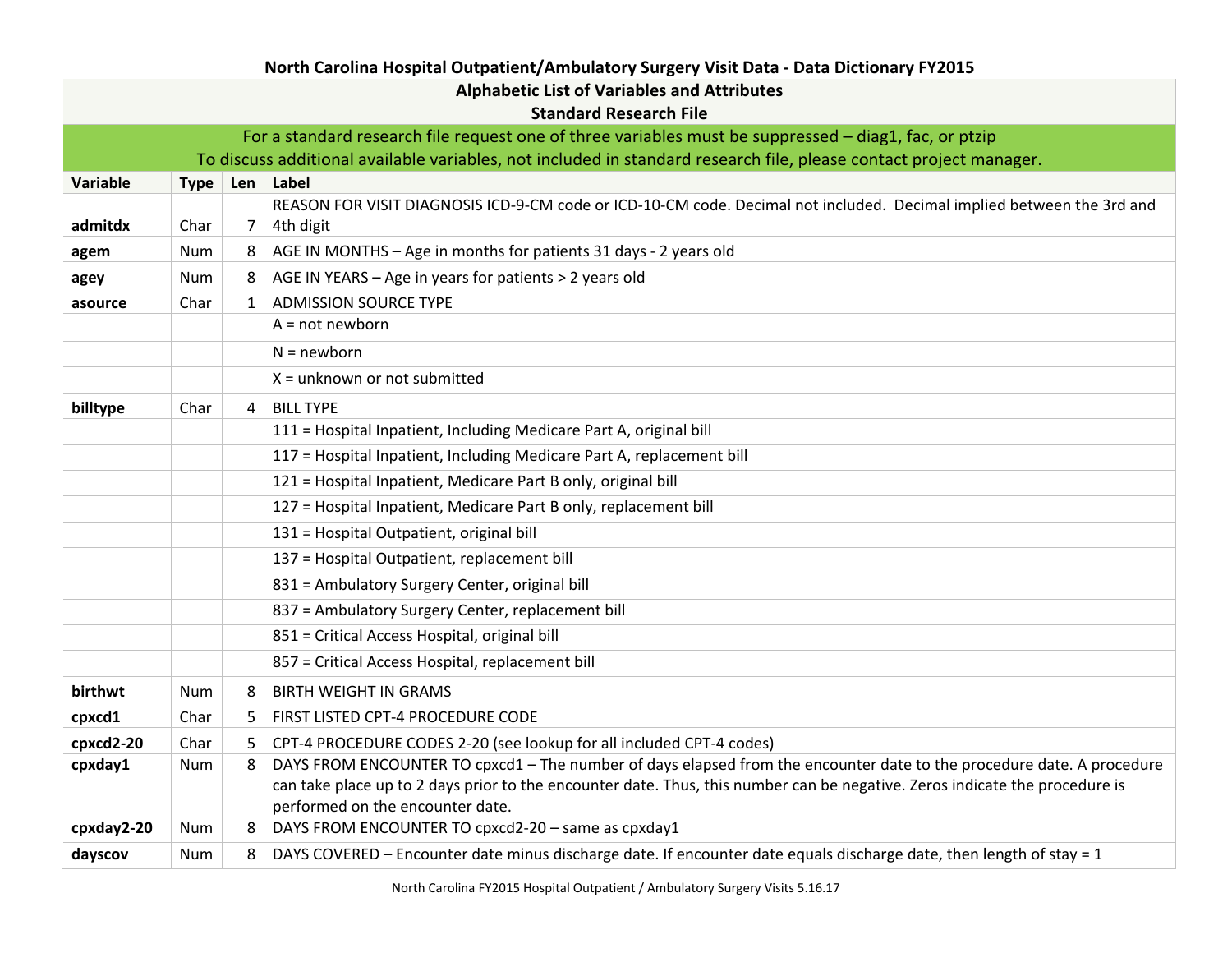| <b>Alphabetic List of Variables and Attributes</b>                                                                 |             |                 |                                                                                                                             |  |  |  |  |
|--------------------------------------------------------------------------------------------------------------------|-------------|-----------------|-----------------------------------------------------------------------------------------------------------------------------|--|--|--|--|
| <b>Standard Research File</b>                                                                                      |             |                 |                                                                                                                             |  |  |  |  |
| For a standard research file request one of three variables must be suppressed – diag1, fac, or ptzip              |             |                 |                                                                                                                             |  |  |  |  |
| To discuss additional available variables, not included in standard research file, please contact project manager. |             |                 |                                                                                                                             |  |  |  |  |
| Variable                                                                                                           | <b>Type</b> | Len             | Label                                                                                                                       |  |  |  |  |
|                                                                                                                    |             |                 | REASON FOR VISIT DIAGNOSIS ICD-9-CM code or ICD-10-CM code. Decimal not included. Decimal implied between the 3rd and       |  |  |  |  |
| admitdx                                                                                                            | Char        | $7\overline{ }$ | 4th digit                                                                                                                   |  |  |  |  |
| agem                                                                                                               | Num         | 8               | AGE IN MONTHS - Age in months for patients 31 days - 2 years old                                                            |  |  |  |  |
| agey                                                                                                               | Num         | 8               | AGE IN YEARS - Age in years for patients > 2 years old                                                                      |  |  |  |  |
| asource                                                                                                            | Char        | 1               | <b>ADMISSION SOURCE TYPE</b>                                                                                                |  |  |  |  |
|                                                                                                                    |             |                 | $A = not newborn$                                                                                                           |  |  |  |  |
|                                                                                                                    |             |                 | $N = newborn$                                                                                                               |  |  |  |  |
|                                                                                                                    |             |                 | $X =$ unknown or not submitted                                                                                              |  |  |  |  |
| billtype                                                                                                           | Char        | $\overline{4}$  | <b>BILL TYPE</b>                                                                                                            |  |  |  |  |
|                                                                                                                    |             |                 | 111 = Hospital Inpatient, Including Medicare Part A, original bill                                                          |  |  |  |  |
|                                                                                                                    |             |                 | 117 = Hospital Inpatient, Including Medicare Part A, replacement bill                                                       |  |  |  |  |
|                                                                                                                    |             |                 | 121 = Hospital Inpatient, Medicare Part B only, original bill                                                               |  |  |  |  |
|                                                                                                                    |             |                 | 127 = Hospital Inpatient, Medicare Part B only, replacement bill                                                            |  |  |  |  |
|                                                                                                                    |             |                 | 131 = Hospital Outpatient, original bill                                                                                    |  |  |  |  |
|                                                                                                                    |             |                 | 137 = Hospital Outpatient, replacement bill                                                                                 |  |  |  |  |
|                                                                                                                    |             |                 | 831 = Ambulatory Surgery Center, original bill                                                                              |  |  |  |  |
|                                                                                                                    |             |                 | 837 = Ambulatory Surgery Center, replacement bill                                                                           |  |  |  |  |
|                                                                                                                    |             |                 | 851 = Critical Access Hospital, original bill                                                                               |  |  |  |  |
|                                                                                                                    |             |                 | 857 = Critical Access Hospital, replacement bill                                                                            |  |  |  |  |
| birthwt                                                                                                            | Num         | 8               | <b>BIRTH WEIGHT IN GRAMS</b>                                                                                                |  |  |  |  |
| cpxcd1                                                                                                             | Char        | 5               | FIRST LISTED CPT-4 PROCEDURE CODE                                                                                           |  |  |  |  |
| cpxcd2-20                                                                                                          | Char        | 5               | CPT-4 PROCEDURE CODES 2-20 (see lookup for all included CPT-4 codes)                                                        |  |  |  |  |
| cpxday1                                                                                                            | Num         | 8               | DAYS FROM ENCOUNTER TO cpxcd1 - The number of days elapsed from the encounter date to the procedure date. A procedure       |  |  |  |  |
|                                                                                                                    |             |                 | can take place up to 2 days prior to the encounter date. Thus, this number can be negative. Zeros indicate the procedure is |  |  |  |  |
|                                                                                                                    |             |                 | performed on the encounter date.                                                                                            |  |  |  |  |
| cpxday2-20                                                                                                         | Num         | 8               | DAYS FROM ENCOUNTER TO cpxcd2-20 - same as cpxday1                                                                          |  |  |  |  |
| dayscov                                                                                                            | Num         | 8               | DAYS COVERED - Encounter date minus discharge date. If encounter date equals discharge date, then length of stay = 1        |  |  |  |  |

**North Carolina Hospital Outpatient/Ambulatory Surgery Visit Data - Data Dictionary FY2015**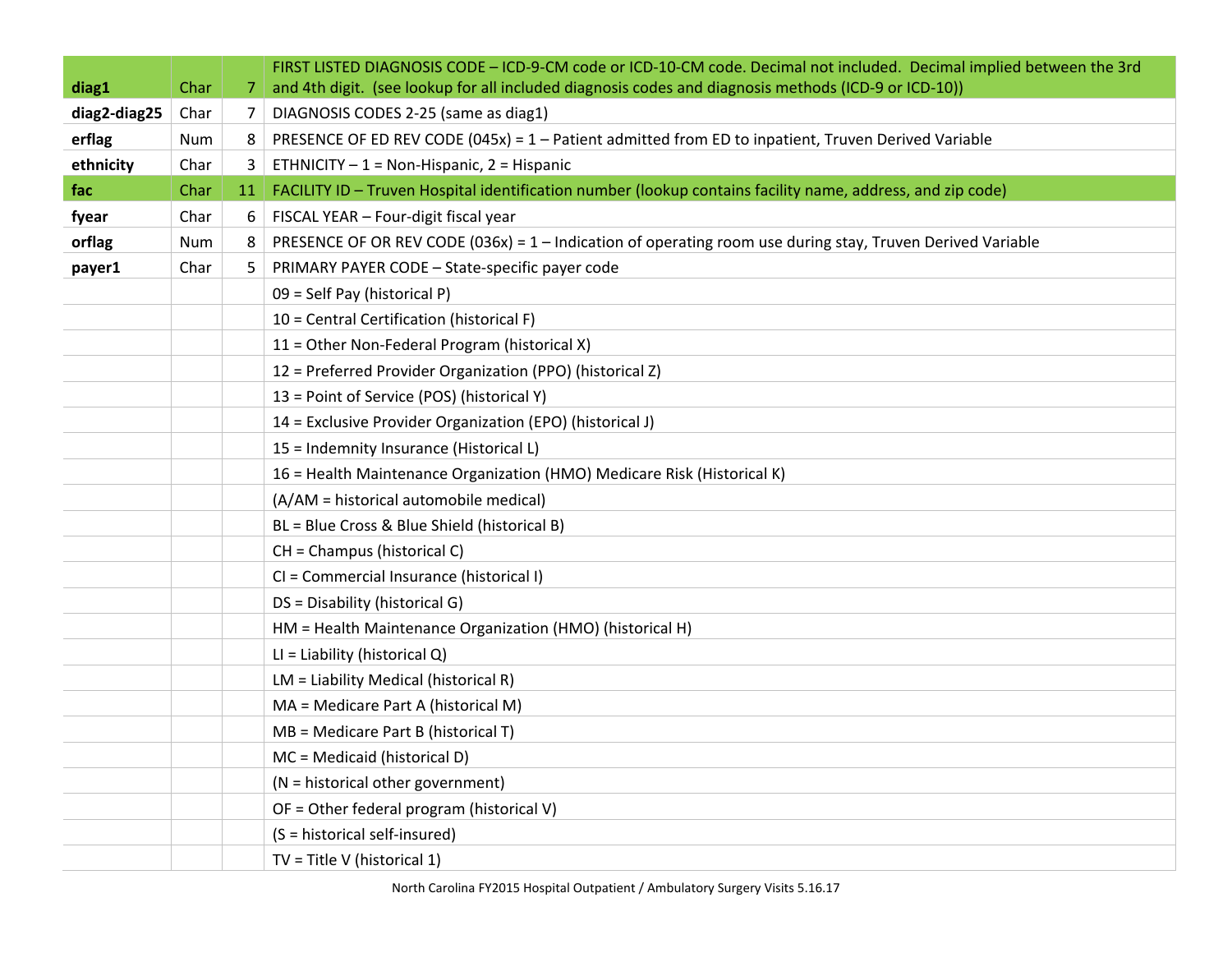| diag1        | Char         | 7              | FIRST LISTED DIAGNOSIS CODE - ICD-9-CM code or ICD-10-CM code. Decimal not included. Decimal implied between the 3rd<br>and 4th digit. (see lookup for all included diagnosis codes and diagnosis methods (ICD-9 or ICD-10)) |
|--------------|--------------|----------------|------------------------------------------------------------------------------------------------------------------------------------------------------------------------------------------------------------------------------|
| diag2-diag25 | Char         | $\overline{7}$ | DIAGNOSIS CODES 2-25 (same as diag1)                                                                                                                                                                                         |
| erflag       | Num          | 8              | PRESENCE OF ED REV CODE (045x) = $1 -$ Patient admitted from ED to inpatient, Truven Derived Variable                                                                                                                        |
| ethnicity    |              | 3              | ETHNICITY $-1$ = Non-Hispanic, 2 = Hispanic                                                                                                                                                                                  |
|              | Char<br>Char |                | FACILITY ID - Truven Hospital identification number (lookup contains facility name, address, and zip code)                                                                                                                   |
| fac          | Char         | <b>11</b>      | FISCAL YEAR - Four-digit fiscal year                                                                                                                                                                                         |
| fyear        |              | 6              |                                                                                                                                                                                                                              |
| orflag       | Num          | 8              | PRESENCE OF OR REV CODE (036x) = 1 - Indication of operating room use during stay, Truven Derived Variable                                                                                                                   |
| payer1       | Char         | 5.             | PRIMARY PAYER CODE - State-specific payer code                                                                                                                                                                               |
|              |              |                | 09 = Self Pay (historical P)                                                                                                                                                                                                 |
|              |              |                | 10 = Central Certification (historical F)                                                                                                                                                                                    |
|              |              |                | 11 = Other Non-Federal Program (historical X)                                                                                                                                                                                |
|              |              |                | 12 = Preferred Provider Organization (PPO) (historical Z)                                                                                                                                                                    |
|              |              |                | 13 = Point of Service (POS) (historical Y)                                                                                                                                                                                   |
|              |              |                | 14 = Exclusive Provider Organization (EPO) (historical J)                                                                                                                                                                    |
|              |              |                | 15 = Indemnity Insurance (Historical L)                                                                                                                                                                                      |
|              |              |                | 16 = Health Maintenance Organization (HMO) Medicare Risk (Historical K)                                                                                                                                                      |
|              |              |                | (A/AM = historical automobile medical)                                                                                                                                                                                       |
|              |              |                | BL = Blue Cross & Blue Shield (historical B)                                                                                                                                                                                 |
|              |              |                | CH = Champus (historical C)                                                                                                                                                                                                  |
|              |              |                | CI = Commercial Insurance (historical I)                                                                                                                                                                                     |
|              |              |                | DS = Disability (historical G)                                                                                                                                                                                               |
|              |              |                | HM = Health Maintenance Organization (HMO) (historical H)                                                                                                                                                                    |
|              |              |                | LI = Liability (historical Q)                                                                                                                                                                                                |
|              |              |                | LM = Liability Medical (historical R)                                                                                                                                                                                        |
|              |              |                | MA = Medicare Part A (historical M)                                                                                                                                                                                          |
|              |              |                | $MB =$ Medicare Part B (historical T)                                                                                                                                                                                        |
|              |              |                | MC = Medicaid (historical D)                                                                                                                                                                                                 |
|              |              |                | (N = historical other government)                                                                                                                                                                                            |
|              |              |                | OF = Other federal program (historical V)                                                                                                                                                                                    |
|              |              |                | (S = historical self-insured)                                                                                                                                                                                                |
|              |              |                | $TV = Title V (historical 1)$                                                                                                                                                                                                |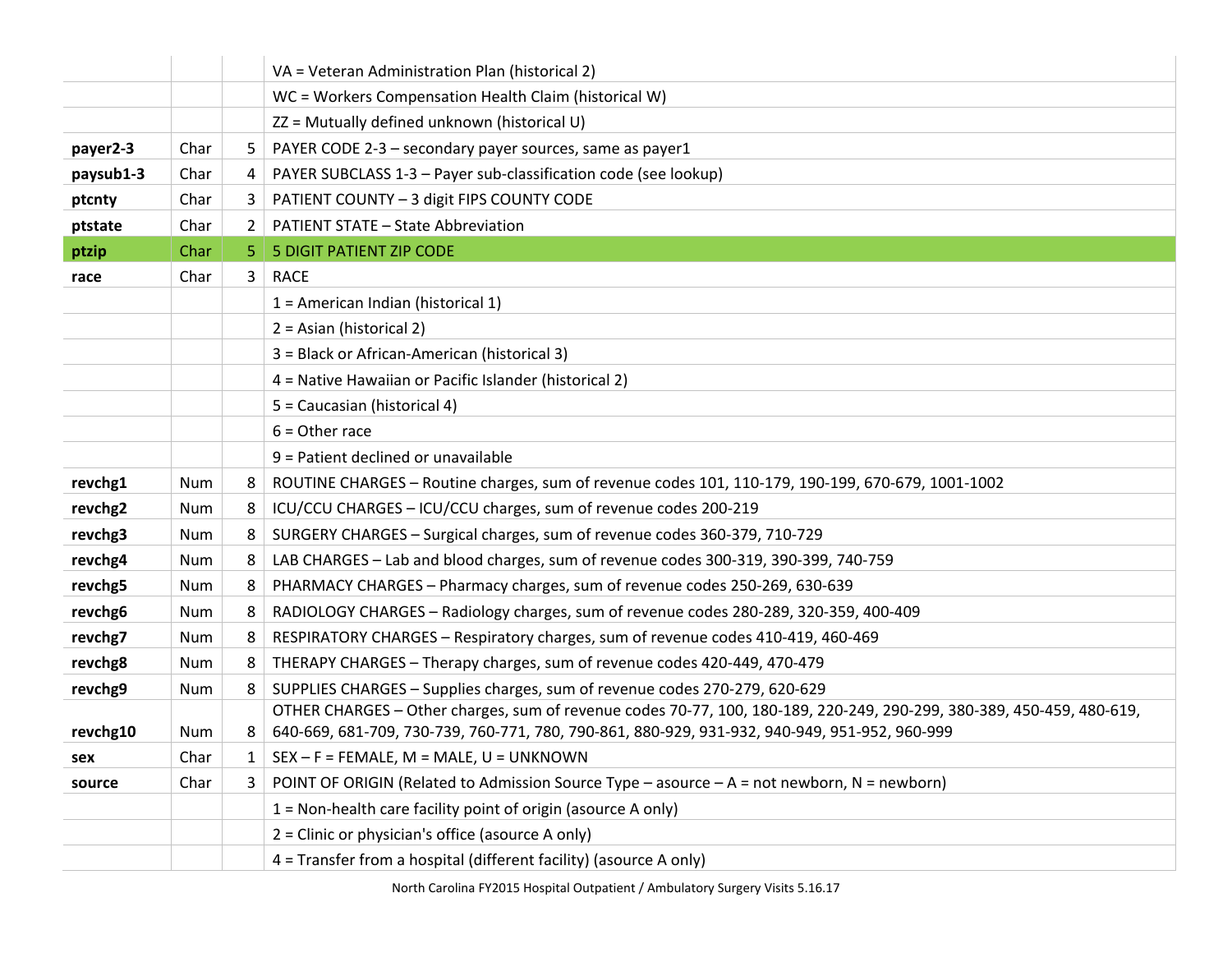|           |      |    | VA = Veteran Administration Plan (historical 2)                                                                       |
|-----------|------|----|-----------------------------------------------------------------------------------------------------------------------|
|           |      |    | WC = Workers Compensation Health Claim (historical W)                                                                 |
|           |      |    | ZZ = Mutually defined unknown (historical U)                                                                          |
| payer2-3  | Char | 5  | PAYER CODE 2-3 - secondary payer sources, same as payer1                                                              |
| paysub1-3 | Char | 4  | PAYER SUBCLASS 1-3 - Payer sub-classification code (see lookup)                                                       |
| ptcnty    | Char | 3  | PATIENT COUNTY - 3 digit FIPS COUNTY CODE                                                                             |
| ptstate   | Char | 2  | <b>PATIENT STATE - State Abbreviation</b>                                                                             |
| ptzip     | Char | 5. | <b>5 DIGIT PATIENT ZIP CODE</b>                                                                                       |
| race      | Char | 3  | <b>RACE</b>                                                                                                           |
|           |      |    | 1 = American Indian (historical 1)                                                                                    |
|           |      |    | 2 = Asian (historical 2)                                                                                              |
|           |      |    | 3 = Black or African-American (historical 3)                                                                          |
|           |      |    | 4 = Native Hawaiian or Pacific Islander (historical 2)                                                                |
|           |      |    | 5 = Caucasian (historical 4)                                                                                          |
|           |      |    | $6 =$ Other race                                                                                                      |
|           |      |    | 9 = Patient declined or unavailable                                                                                   |
| revchg1   | Num  | 8  | ROUTINE CHARGES - Routine charges, sum of revenue codes 101, 110-179, 190-199, 670-679, 1001-1002                     |
| revchg2   | Num  | 8  | ICU/CCU CHARGES - ICU/CCU charges, sum of revenue codes 200-219                                                       |
| revchg3   | Num  | 8  | SURGERY CHARGES - Surgical charges, sum of revenue codes 360-379, 710-729                                             |
| revchg4   | Num  | 8  | LAB CHARGES - Lab and blood charges, sum of revenue codes 300-319, 390-399, 740-759                                   |
| revchg5   | Num  | 8  | PHARMACY CHARGES - Pharmacy charges, sum of revenue codes 250-269, 630-639                                            |
| revchg6   | Num  | 8  | RADIOLOGY CHARGES - Radiology charges, sum of revenue codes 280-289, 320-359, 400-409                                 |
| revchg7   | Num  | 8  | RESPIRATORY CHARGES - Respiratory charges, sum of revenue codes 410-419, 460-469                                      |
| revchg8   | Num  | 8  | THERAPY CHARGES - Therapy charges, sum of revenue codes 420-449, 470-479                                              |
| revchg9   | Num  | 8  | SUPPLIES CHARGES - Supplies charges, sum of revenue codes 270-279, 620-629                                            |
|           |      |    | OTHER CHARGES - Other charges, sum of revenue codes 70-77, 100, 180-189, 220-249, 290-299, 380-389, 450-459, 480-619, |
| revchg10  | Num  | 8  | 640-669, 681-709, 730-739, 760-771, 780, 790-861, 880-929, 931-932, 940-949, 951-952, 960-999                         |
| sex       | Char |    | $SEX - F = FEMALE, M = MALE, U = UNKNOWN$                                                                             |
| source    | Char | 3  | POINT OF ORIGIN (Related to Admission Source Type - asource - A = not newborn, N = newborn)                           |
|           |      |    | 1 = Non-health care facility point of origin (asource A only)                                                         |
|           |      |    | 2 = Clinic or physician's office (asource A only)                                                                     |
|           |      |    | 4 = Transfer from a hospital (different facility) (asource A only)                                                    |

North Carolina FY2015 Hospital Outpatient / Ambulatory Surgery Visits 5.16.17